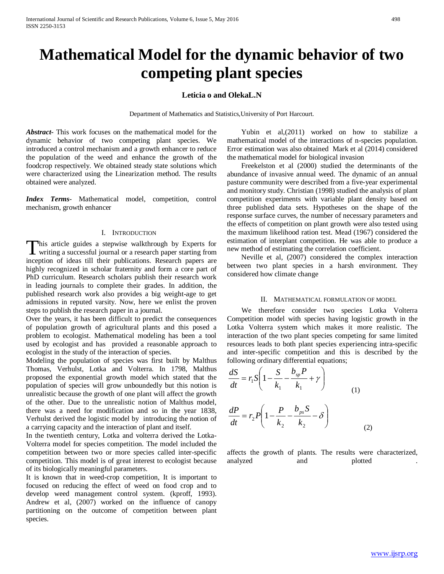# **Mathematical Model for the dynamic behavior of two competing plant species**

# **Leticia o and OlekaL.N**

Department of Mathematics and Statistics,University of Port Harcourt.

*Abstract***-** This work focuses on the mathematical model for the dynamic behavior of two competing plant species. We introduced a control mechanism and a growth enhancer to reduce the population of the weed and enhance the growth of the foodcrop respectively. We obtained steady state solutions which were characterized using the Linearization method. The results obtained were analyzed.

*Index Terms*- Mathematical model, competition, control mechanism, growth enhancer

## I. INTRODUCTION

This article guides a stepwise walkthrough by Experts for writing a successful journal or a research paper starting from **L** writing a successful journal or a research paper starting from inception of ideas till their publications. Research papers are highly recognized in scholar fraternity and form a core part of PhD curriculum. Research scholars publish their research work in leading journals to complete their grades. In addition, the published research work also provides a big weight-age to get admissions in reputed varsity. Now, here we enlist the proven steps to publish the research paper in a journal.

Over the years, it has been difficult to predict the consequences of population growth of agricultural plants and this posed a problem to ecologist. Mathematical modeling has been a tool used by ecologist and has provided a reasonable approach to ecologist in the study of the interaction of species.

Modeling the population of species was first built by Malthus Thomas, Verhulst, Lotka and Volterra. In 1798, Malthus proposed the exponential growth model which stated that the population of species will grow unboundedly but this notion is unrealistic because the growth of one plant will affect the growth of the other. Due to the unrealistic notion of Malthus model, there was a need for modification and so in the year 1838, Verhulst derived the logistic model by introducing the notion of a carrying capacity and the interaction of plant and itself.

In the twentieth century, Lotka and volterra derived the Lotka-Volterra model for species competition. The model included the competition between two or more species called inter-specific competition. This model is of great interest to ecologist because of its biologically meaningful parameters.

It is known that in weed-crop competition, It is important to focused on reducing the effect of weed on food crop and to develop weed management control system. (kproff, 1993). Andrew et al, (2007) worked on the influence of canopy partitioning on the outcome of competition between plant species.

 Yubin et al,(2011) worked on how to stabilize a mathematical model of the interactions of n-species population. Error estimation was also obtained Mark et al (2014) considered the mathematical model for biological invasion

 Freekelston et al (2000) studied the determinants of the abundance of invasive annual weed. The dynamic of an annual pasture community were described from a five-year experimental and monitory study. Christian (1998) studied the analysis of plant competition experiments with variable plant density based on three published data sets. Hypotheses on the shape of the response surface curves, the number of necessary parameters and the effects of competition on plant growth were also tested using the maximum likelihood ration test. Mead (1967) considered the estimation of interplant competition. He was able to produce a new method of estimating the correlation coefficient.

 Neville et al, (2007) considered the complex interaction between two plant species in a harsh environment. They considered how climate change

#### II. MATHEMATICAL FORMULATION OF MODEL

 We therefore consider two species Lotka Volterra Competition model with species having logistic growth in the Lotka Volterra system which makes it more realistic. The interaction of the two plant species competing for same limited resources leads to both plant species experiencing intra-specific and inter-specific competition and this is described by the following ordinary differential equations;

$$
\frac{dS}{dt} = r_1 S \left( 1 - \frac{S}{k_1} - \frac{b_{sp} P}{k_1} + \gamma \right)
$$
  

$$
\frac{dP}{dt} = r_2 P \left( 1 - \frac{P}{k_2} - \frac{b_{ps} S}{k_2} - \delta \right)
$$
 (1)

affects the growth of plants. The results were characterized, analyzed and plotted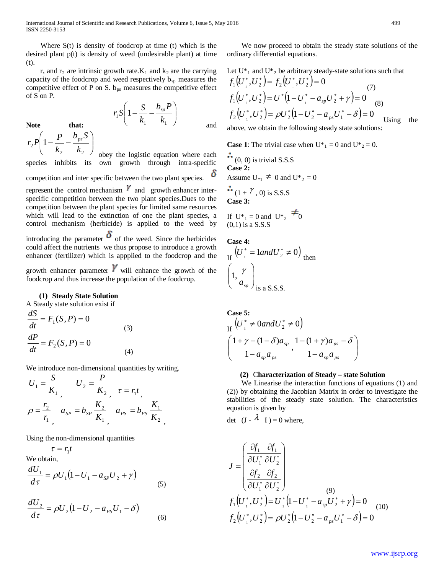International Journal of Scientific and Research Publications, Volume 6, Issue 5, May 2016 499 ISSN 2250-3153

Where  $S(t)$  is density of foodcrop at time (t) which is the desired plant p(t) is density of weed (undesirable plant) at time (t).

r, and  $r_2$  are intrinsic growth rate.  $K_1$  and  $k_2$  are the carrying capacity of the foodcrop and weed respectively  $b_{sp}$  measures the competitive effect of P on S.  $b_{ps}$  measures the competitive effect of S on P.

Note that:  
\n
$$
r_1S\left(1-\frac{S}{k_1}-\frac{b_{sp}P}{k_1}\right)
$$
\nand  
\n
$$
r_2P\left(1-\frac{P}{k_1}-\frac{b_{ps}S}{k_1}\right)
$$

 $\overline{\phantom{a}}$  $\sum_{2} P\left(1-\frac{1}{k_{2}}-\frac{p}{k_{2}}\right)$ *k*  $\setminus$  $\bigg)$ obey the logistic equation where each 2  $\mathbb{R}_2$ species inhibits its own growth through intra-specific δ competition and inter specific between the two plant species. represent the control mechanism  $\mathbb {Y}$  and growth enhancer interspecific competition between the two plant species.Dues to the competition between the plant species for limited same resources which will lead to the extinction of one the plant species, a control mechanism (herbicide) is applied to the weed by introducing the parameter  $\delta$  of the weed. Since the herbicides could affect the nutrients we thus propose to introduce a growth enhancer (fertilizer) which is appplied to the foodcrop and the

growth enhancer parameter  $V$  will enhance the growth of the foodcrop and thus increase the population of the foodcrop.

# **(1) Steady State Solution**

A Steady state solution exist if

 $\left(1-\frac{P}{\cdot}\right)$ 

$$
\frac{dS}{dt} = F_1(S, P) = 0
$$
\n
$$
\frac{dP}{dt} = F_2(S, P) = 0
$$
\n(3)\n(4)

We introduce non-dimensional quantities by writing.

,

$$
U_1 = \frac{S}{K_1}, \qquad U_2 = \frac{P}{K_2}, \qquad \tau = r_1 t, \n\rho = \frac{r_2}{r_1}, \qquad a_{SP} = b_{SP} \frac{K_2}{K_1}, \qquad a_{PS} = b_{PS} \frac{K_1}{K_2}
$$

Using the non-dimensional quantities

$$
\tau = r_1 t
$$

We obtain,

$$
\frac{dU_1}{d\tau} = \rho U_1 (1 - U_1 - a_{sp} U_2 + \gamma)
$$
\n(5)

$$
\frac{dU_2}{d\tau} = \rho U_2 (1 - U_2 - a_{PS} U_1 - \delta)
$$
\n(6)

 We now proceed to obtain the steady state solutions of the ordinary differential equations.

Let U<sup>\*</sup><sub>1</sub> and U<sup>\*</sup><sub>2</sub> be arbitrary steady-state solutions such that  
\n
$$
f_1(U_1^*, U_2^*) = f_2(U_1^*, U_2^*) = 0
$$
  
\n $f_1(U_1^*, U_2^*) = U_1^* (1 - U_1^* - a_{sp} U_2^* + \gamma) = 0$   
\n $f_2(U_1^*, U_2^*) = \rho U_2^* (1 - U_2^* - a_{ps} U_1^* - \delta) = 0$  Using the

above, we obtain the following steady state solutions:

**Case 1**: The trivial case when  $U^*_{1} = 0$  and  $U^*_{2} = 0$ .

 $\ddot{ }$  (0, 0) is trivial S.S.S **Case 2:** Assume  $U_{*1} \neq 0$  and  $U_{*2} = 0$  $\ddot{f}$  (1 +  $\gamma$ , 0) is S.S.S. **Case 3:**

If 
$$
U^*_{1} = 0
$$
 and  $U^*_{2} = 0$   
(0,1) is a S.S.S

**Case 4:**

If 
$$
(U_i^* = 1 \text{ and } U_2^* \neq 0)
$$
 then  
\n $\left(1, \frac{\gamma}{a_{sp}}\right)_{\text{is a S.S.S.}}$ 

**Case 5:** ase 5:<br> $(I^T^* \neq 0 \text{ and } II^* \neq 0)$ 

If 
$$
(\frac{1+\gamma - (1-\delta)a_{sp}}{1-a_{sp}a_{ps}}, \frac{1-(1+\gamma)a_{ps} - \delta}{1-a_{sp}a_{ps}})
$$

#### **(2)** C**haracterization of Steady – state Solution**

 We Linearise the interaction functions of equations (1) and (2)) by obtaining the Jacobian Matrix in order to investigate the stabilities of the steady state solution. The characteristics equation is given by

det  $(J - \lambda I) = 0$  where,

$$
J = \begin{pmatrix} \frac{\partial f_1}{\partial U_1^*} & \frac{\partial f_1}{\partial U_2^*} \\ \frac{\partial f_2}{\partial U_1^*} & \frac{\partial f_2}{\partial U_2^*} \end{pmatrix}
$$
  
\n
$$
f_1(U_1^*, U_2^*) = U_1^* (1 - U_1^* - a_{sp} U_2^* + \gamma) = 0
$$
  
\n
$$
f_2(U_1^*, U_2^*) = \rho U_2^* (1 - U_2^* - a_{ps} U_1^* - \delta) = 0
$$
 (10)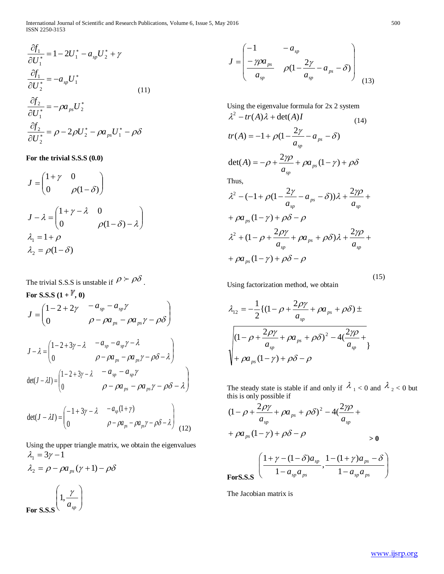$$
\frac{\partial f_1}{\partial U_1^*} = 1 - 2U_1^* - a_{sp}U_2^* + \gamma
$$
  
\n
$$
\frac{\partial f_1}{\partial U_2^*} = -a_{sp}U_1^*
$$
  
\n
$$
\frac{\partial f_2}{\partial U_1^*} = -\rho a_{ps}U_2^*
$$
  
\n
$$
\frac{\partial f_2}{\partial U_2^*} = \rho - 2\rho U_2^* - \rho a_{ps}U_1^* - \rho \delta
$$

**For the trivial S.S.S (0.0)**

$$
J = \begin{pmatrix} 1+\gamma & 0 \\ 0 & \rho(1-\delta) \end{pmatrix}
$$
  
\n
$$
J - \lambda = \begin{pmatrix} 1+\gamma-\lambda & 0 \\ 0 & \rho(1-\delta) - \lambda \end{pmatrix}
$$
  
\n
$$
\lambda_1 = 1 + \rho
$$
  
\n
$$
\lambda_2 = \rho(1-\delta)
$$

The trivial S.S.S is unstable if  $\rho > \rho \delta$ . For S.S.S  $(1 + \mathbb{Y}, 0)$  $\overline{\phantom{a}}$  $J=\begin{pmatrix} 1\!-\!2\!+\!2\gamma & \!\!\!-a_{sp}\!-\!a_{sp}\gamma\ \!\!\!\!\!0 & \!\!\!\!\! \rho-\rho a_{ps}\!-\!\rho a_{ps}\gamma\!-\!\rho\delta \end{pmatrix}$  $\bigg)$  $\setminus$  $-\rho a_{\scriptscriptstyle{DS}} - \rho a_{\scriptscriptstyle{DS}} \gamma -a_{\rm sn}$  –  $\rho - \rho a_{ns} - \rho a_{ns} \gamma - \rho \delta$ γ  $p_s$  *px*  $p_s$ *sp sp*  $a_{_{ps}} - \rho a$  $a_{\rm sn}$  –  $a$  $\parallel$ V  $-\lambda = \left( \frac{1 - 2 + 3\gamma - 1}{2} \right)$  $\theta$  $1 - 2 + 3\gamma - \lambda$  $J - \lambda = \begin{vmatrix} 1 - 2 + 3y - \lambda & g_y & g_y \\ 0 & 0 - \lambda q & -\lambda q & \lambda q - \lambda q \end{vmatrix}$ J  $\overline{\phantom{a}}$  $-\rho a_{\rm n} - \rho a_{\rm n} \gamma - \rho \delta$  –  $-a_{m} - a_{m} \gamma \rho - \rho a_{ps} - \rho a_{ps} \gamma - \rho \delta - \lambda$  $\gamma - \lambda$ *ps ps sp sp*  $a_{ns} - \rho a$  $a_{\rm sn} - a$  $\overline{\phantom{a}}$ \  $- \lambda I$ ) =  $\begin{vmatrix} 1 - 2 + 3\gamma - 1 \\ 1 - 2 + 3\gamma \end{vmatrix}$  $\mathbf 0$  $\det(J - \lambda I) = \begin{pmatrix} 1 - 2 + 3\gamma - \lambda & -a_{sp} - a_{sp}\gamma \\ 0 & 0 - \rho a & -\rho a & \gamma - \rho \delta - \lambda \end{pmatrix}$  $-\rho a_{\rm ns} - \rho a_{\rm ns} \gamma - \rho \delta$  –  $-a_{\scriptscriptstyle{em}}$  –  $\rho$  –  $\rho a_{_{ps}}$  –  $\rho a_{_{ps}}$ γ –  $\rho \delta$  –  $\lambda$ γ *ps ps sp sp*  $a_{ns} - \rho a$  $a_{\rm sn} - a$  $- a_{\rm m} (1 +$  $a_{\scriptscriptstyle m}(1 + \gamma)$ 

$$
\det(J - \lambda I) = \begin{pmatrix} -1 + 3\gamma - \lambda & -a_{sp}(1 + \gamma) \\ 0 & \rho - \rho a_{ps} - \rho a_{ps}\gamma - \rho \delta - \lambda \end{pmatrix}
$$
(12)

Using the upper triangle matrix, we obtain the eigenvalues  $\lambda_2 = \rho - \rho a_{ps} (\gamma + 1) - \rho \delta$  $\lambda_1 = 3\gamma - 1$ 

**For S.S.S**  $\overline{\phantom{a}}$  $\overline{\phantom{a}}$ J  $\setminus$  $\mathsf{I}$  $\mathsf{I}$  $\setminus$ ſ *sp a*  $1, \frac{\gamma}{\gamma}$ 

$$
J = \begin{pmatrix} -1 & -a_{sp} \\ \frac{-\gamma \rho a_{ps}}{a_{sp}} & \rho (1 - \frac{2\gamma}{a_{sp}} - a_{ps} - \delta) \\ \end{pmatrix} \tag{13}
$$

Using the eigenvalue formula for 2x 2 system  $\lambda^2 - tr(A)\lambda + \det(A)I$  (14)

$$
tr(A) = -1 + \rho(1 - \frac{2\gamma}{a_{sp}} - a_{ps} - \delta)
$$

$$
\det(A) = -\rho + \frac{2\gamma\rho}{a_{\text{sp}}} + \rho a_{\text{ps}}(1-\gamma) + \rho\delta
$$

Thus,

$$
\lambda^{2} - (-1 + \rho(1 - \frac{2\gamma}{a_{sp}} - a_{ps} - \delta))\lambda + \frac{2\gamma\rho}{a_{sp}} +
$$
  
+  $\rho a_{ps}(1 - \gamma) + \rho \delta - \rho$   

$$
\lambda^{2} + (1 - \rho + \frac{2\rho\gamma}{a_{sp}} + \rho a_{ps} + \rho \delta)\lambda + \frac{2\gamma\rho}{a_{sp}} +
$$
  
+  $\rho a_{ps}(1 - \gamma) + \rho \delta - \rho$ 

Using factorization method, we obtain

$$
\lambda_{12} = -\frac{1}{2} \{ (1 - \rho + \frac{2\rho \gamma}{a_{sp}} + \rho a_{ps} + \rho \delta) \pm
$$

$$
\sqrt{(1 - \rho + \frac{2\rho \gamma}{a_{sp}} + \rho a_{ps} + \rho \delta)^2 - 4(\frac{2\gamma \rho}{a_{sp}} + \gamma + \rho a_{ps} (1 - \gamma) + \rho \delta - \rho)}
$$

The steady state is stable if and only if  $\lambda_1 < 0$  and  $\lambda_2 < 0$  but this is only possible if

−

*sp ps*

 $a_{\rm sn}$ *a* 

$$
(1 - \rho + \frac{2\rho\gamma}{a_{sp}} + \rho a_{ps} + \rho \delta)^2 - 4(\frac{2\gamma\rho}{a_{sp}} + \rho a_{ps}(1 - \gamma) + \rho \delta - \rho
$$
  
\n
$$
+ \rho a_{ps}(1 - \gamma) + \rho \delta - \rho
$$
  
\n
$$
\left(\frac{1 + \gamma - (1 - \delta)a_{sp}}{1 - a_{sp}a_{ps}}, \frac{1 - (1 + \gamma)a_{ps} - \delta}{1 - a_{sp}a_{ps}}\right)
$$

*sp ps*

 $a_{\rm sn}$ *a* 

**ForS.S.S**   $\setminus$ 

J

 $\setminus$ 

The Jacobian matrix is

−

(15)

J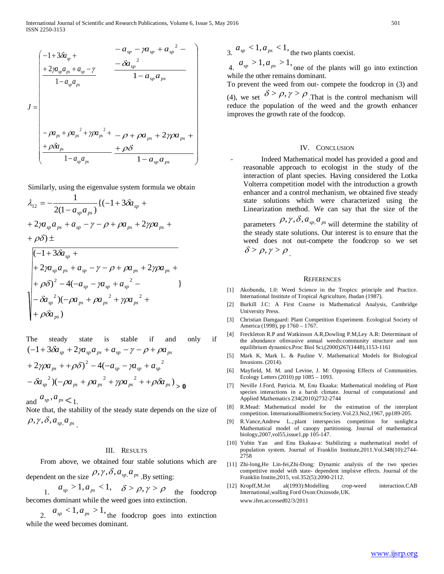$$
J = \begin{pmatrix}\n-1+3\delta a_{sp} + & -a_{sp} - \gamma a_{sp} + a_{sp}^{2} - \\
+2\gamma a_{sp}a_{ps} + a_{sp} - \gamma & \frac{-\delta a_{sp}^{2}}{1 - a_{sp}a_{ps}}\n\end{pmatrix}
$$
\n
$$
J = \begin{pmatrix}\n-\rho a_{ps} + \rho a_{ps}^{2} + \gamma \rho a_{ps}^{2} + (-\rho + \rho a_{ps} + 2\gamma \rho a_{ps} + \frac{1}{2}\rho a_{ps}^{2}) & \frac{\rho a_{ps}^{2}}{1 - a_{sp}a_{ps}}\n\end{pmatrix}
$$

Similarly, using the eigenvalue system formula we obtain

$$
\lambda_{12} = -\frac{1}{2(1 - a_{sp}a_{ps})} \{(-1 + 3\delta a_{sp} ++ 2\gamma a_{sp}a_{ps} + a_{sp} - \gamma - \rho + \rho a_{ps} + 2\gamma \rho a_{ps} ++ \rho \delta) \pm
$$

$$
\begin{pmatrix}\n(-1+3\delta a_{sp} + \\
+2\gamma a_{sp}a_{ps} + a_{sp} - \gamma - \rho + \rho a_{ps} + 2\gamma\rho a_{ps} + \\
+ \rho \delta)^2 - 4(-a_{sp} - \gamma a_{sp} + a_{sp}^2 - \\
- \delta a_{sp}^2)(-\rho a_{ps} + \rho a_{ps}^2 + \gamma\rho a_{ps}^2 + \\
+ \rho \delta a_{ps})\n\end{pmatrix}
$$

The steady state is stable if and only if  $\int_{1}^{2}(-\rho a_{ps} + \rho a_{ps}^{2} + \gamma \rho a_{ps}^{2} + \rho \delta a_{ps})$  $(2\gamma \rho a_{ps} + \rho \delta)^2 - 4(-a_{sp} - \gamma a_{sp} + a_{sp}^2)$  $(-1+3\delta a_{sp}+2\gamma a_{sp}a_{ps}+a_{sp}-\gamma-\rho+\rho a_{ps}$  $-\delta a_{sp}^{2}$ ) $(-\rho a_{ps} + \rho a_{ps}^{2} + \gamma \rho a_{ps}^{2} + + \rho \delta a_{ps})$ <sub>2</sub>  $(a+2\gamma \rho a_{ps} + +\rho \delta)^2 - 4 (-a_{sp} - \gamma a_{sp} + a_{sp})$ 

and  $a_{sp}$ ,  $a_{ps}$   $\leq 1$ .

Note that, the stability of the steady state depends on the size of  $\rho, \gamma, \delta, a_{_{sp}, a_{_{ps}}}$ .

# III. RESULTS

 From above, we obtained four stable solutions which are dependent on the size  $\rho, \gamma, \delta, a_{sp, a_{ps}}$  By setting:

$$
a_{sp} > 1, a_{ps} < 1, \quad \delta > \rho, \gamma > \rho
$$
 the food crop  
becomes dominant while the weed goes into extinction.

2.  $a_{sp} < 1, a_{ps} > 1$ , the foodcrop goes into extinction while the weed becomes dominant.

 $a_{sp} < 1, a_{ps} < 1$ , the two plants coexist.

 $a_{sp} > 1, a_{ps} > 1$ , one of the plants will go into extinction while the other remains dominant.

To prevent the weed from out- compete the foodcrop in (3) and (4), we set  $\delta > \rho, \gamma > \rho$ . That is the control mechanism will reduce the population of the weed and the growth enhancer improves the growth rate of the foodcop.

## IV. CONCLUSION

Indeed Mathematical model has provided a good and reasonable approach to ecologist in the study of the interaction of plant species. Having considered the Lotka Volterra competition model with the introduction a growth enhancer and a control mechanism, we obtained five steady state solutions which were characterized using the Linearization method. We can say that the size of the parameters  $\rho, \gamma, \delta, a_{\text{sp}}, a_{\text{ps}}$  will determine the stability of the steady state solutions. Our interest is to ensure that the weed does not out-compete the foodcrop so we set  $\delta > \rho, \gamma > \rho$ 

#### **REFERENCES**

- [1] Akobundu, 1.0: Weed Science in the Tropics: principle and Practice. International Institute of Tropical Agriculture, Ibadan (1987).
- [2] Burkill J.C: A First Course in Mathematical Analysis, Cambridge University Press.
- [3] Christian Damgaard: Plant Competition Experiment. Ecological Society of America (1998), pp 1760 – 1767.
- [4] Freckleton R.P and Watkinson A.R,Dowling P.M,Ley A.R: Determinant of the abundance ofinvasive annual weeds:community structure and non equilibrium dynamics.Proc Biol Sci,(2000)267(1448),1153-1161
- [5] Mark K, Mark L. & Pauline V. Mathematical Models for Biological Invasions. (2014).
- [6] Mayfield, M. M. and Levine, J. M: Opposing Effects of Communities. Ecology Letters (2010) pp 1085 – 1093.
- [7] Neville J.Ford, Patricia. M, Enu Ekaaka: Mathematical modeling of Plant species interactions in a harsh climate. Journal of computational and Applied Mathematics 234(2010)2732-2744
- [8] R.Mead: Mathematical model for the estimation of the interplant competition. InternationalBiometricSociety.Vol.23.No2,1967, pp189-205.
- [9] R.Vance,Andrew L.,:plant interspecies competition for sunlight:a Mathematical model of canopy partitioning. Journal of mathematical biology,2007,vol55,issue1,pp 105-147.
- [10] Yubin Yan and Enu Ekakaa-a: Stabilizing a mathematical model of population system. Journal of Franklin Institute,2011.Vol.348(10):2744- 2758
- [11] Zhi-long,He Lin-fei,Zhi-Dong: Dynamic analysis of the two species competitive model with state- dependent implsive effects. Journal of the Franklin Instite,2015, vol.352(5):2090-2112.
- [12] Kropff,M.Jet al(1993):Modelling crop-weed interaction.CAB International,walling Ford Oxon:Oxiosode,UK. www.ifen.accessed02/3/2011